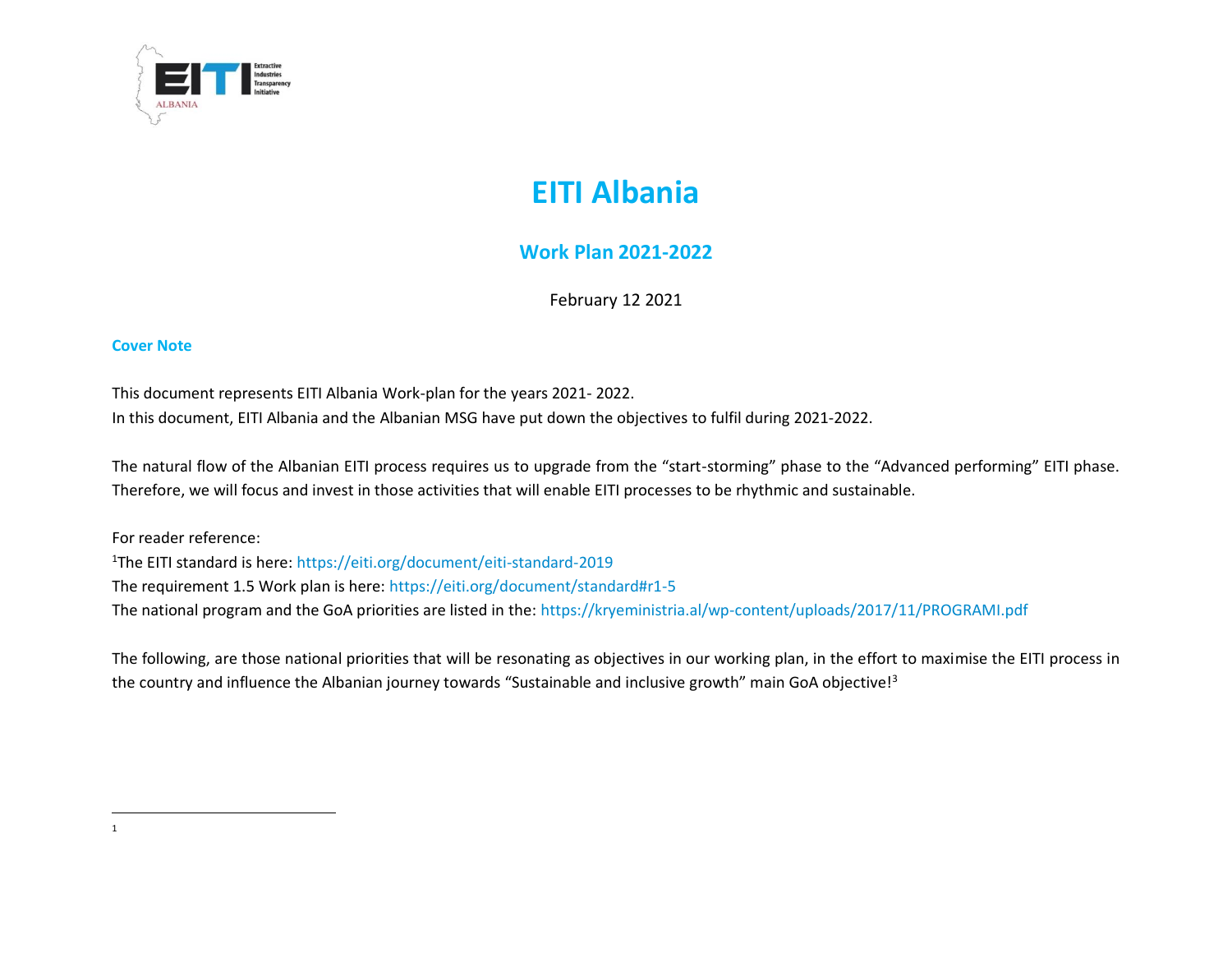

# **EITI Albania**

# **Work Plan 2021-2022**

February 12 2021

#### **Cover Note**

This document represents EITI Albania Work-plan for the years 2021- 2022.

In this document, EITI Albania and the Albanian MSG have put down the objectives to fulfil during 2021-2022.

The natural flow of the Albanian EITI process requires us to upgrade from the "start-storming" phase to the "Advanced performing" EITI phase. Therefore, we will focus and invest in those activities that will enable EITI processes to be rhythmic and sustainable.

For reader reference: <sup>1</sup>The EITI standard is here:<https://eiti.org/document/eiti-standard-2019> The requirement 1.5 Work plan is here:<https://eiti.org/document/standard#r1-5> The national program and the GoA priorities are listed in the:<https://kryeministria.al/wp-content/uploads/2017/11/PROGRAMI.pdf>

The following, are those national priorities that will be resonating as objectives in our working plan, in the effort to maximise the EITI process in the country and influence the Albanian journey towards "Sustainable and inclusive growth" main GoA objective!<sup>3</sup>

<sup>1</sup>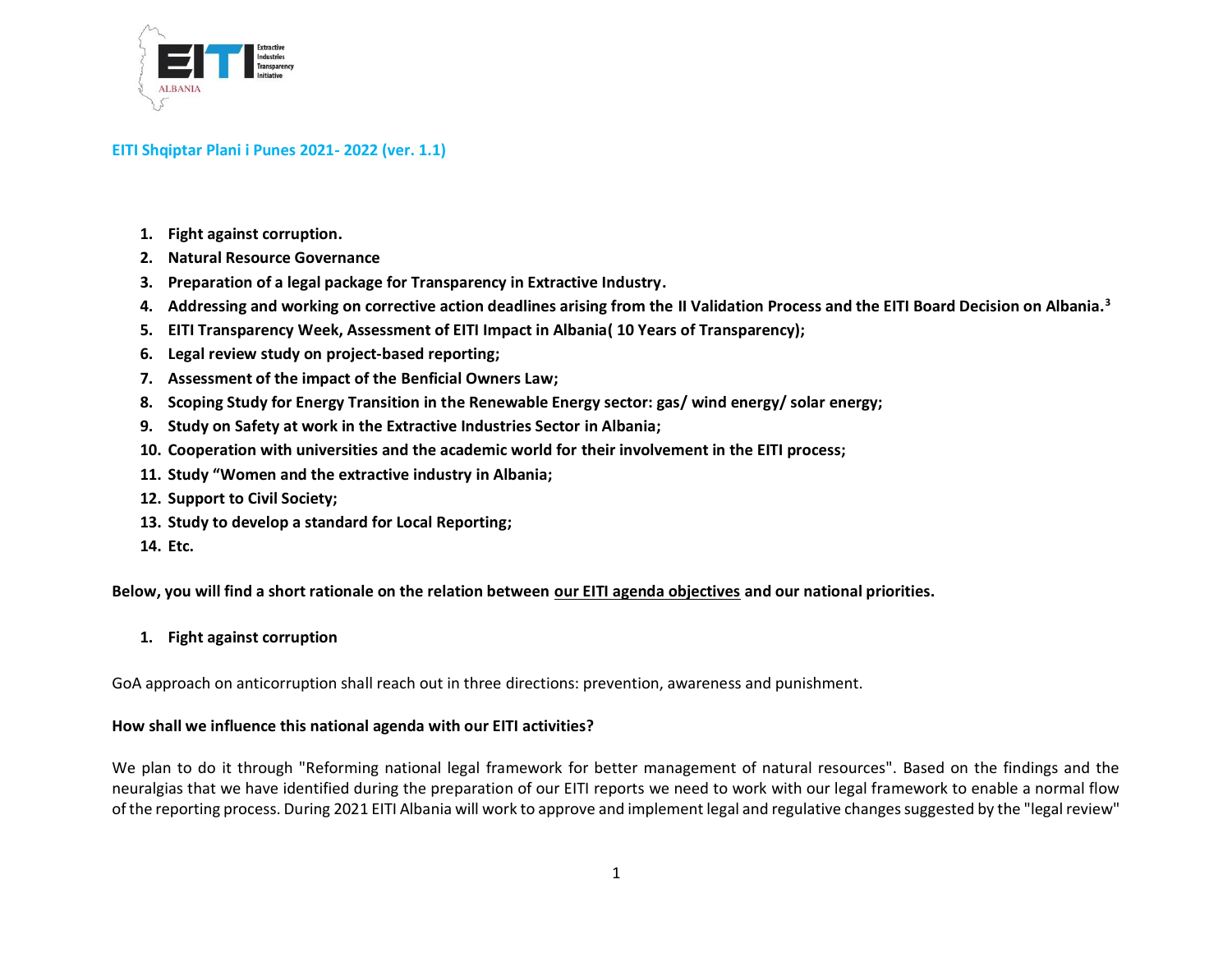

- **1. [Fight against corruption.](http://www.kryeministria.al/en/program/rule-of-law-and-the-democratization-of-society/fight-against-corruption)**
- **2. Natural Resource Governance**
- **3. Preparation of a legal package for Transparency in Extractive Industry.**
- **4. Addressing and working on corrective action deadlines arising from the II Validation Process and the EITI Board Decision on Albania.<sup>3</sup>**
- **5. EITI Transparency Week, Assessment of EITI Impact in Albania( 10 Years of Transparency);**
- **6. Legal review study on project-based reporting;**
- **7. Assessment of the impact of the Benficial Owners Law;**
- **8. Scoping Study for Energy Transition in the Renewable Energy sector: gas/ wind energy/ solar energy;**
- **9. Study on Safety at work in the Extractive Industries Sector in Albania;**
- **10. Cooperation with universities and the academic world for their involvement in the EITI process;**
- **11. Study "Women and the extractive industry in Albania;**
- **12. Support to Civil Society;**
- **13. Study to develop a standard for Local Reporting;**
- **14. Etc.**

**Below, you will find a short rationale on the relation between our EITI agenda objectives and our national priorities.** 

#### **1. [Fight against corruption](http://www.kryeministria.al/en/program/rule-of-law-and-the-democratization-of-society/fight-against-corruption)**

GoA approach on anticorruption shall reach out in three directions: prevention, awareness and punishment.

#### **How shall we influence this national agenda with our EITI activities?**

We plan to do it through "Reforming national legal framework for better management of natural resources". Based on the findings and the neuralgias that we have identified during the preparation of our EITI reports we need to work with our legal framework to enable a normal flow of the reporting process. During 2021 EITI Albania will work to approve and implement legal and regulative changes suggested by the "legal review"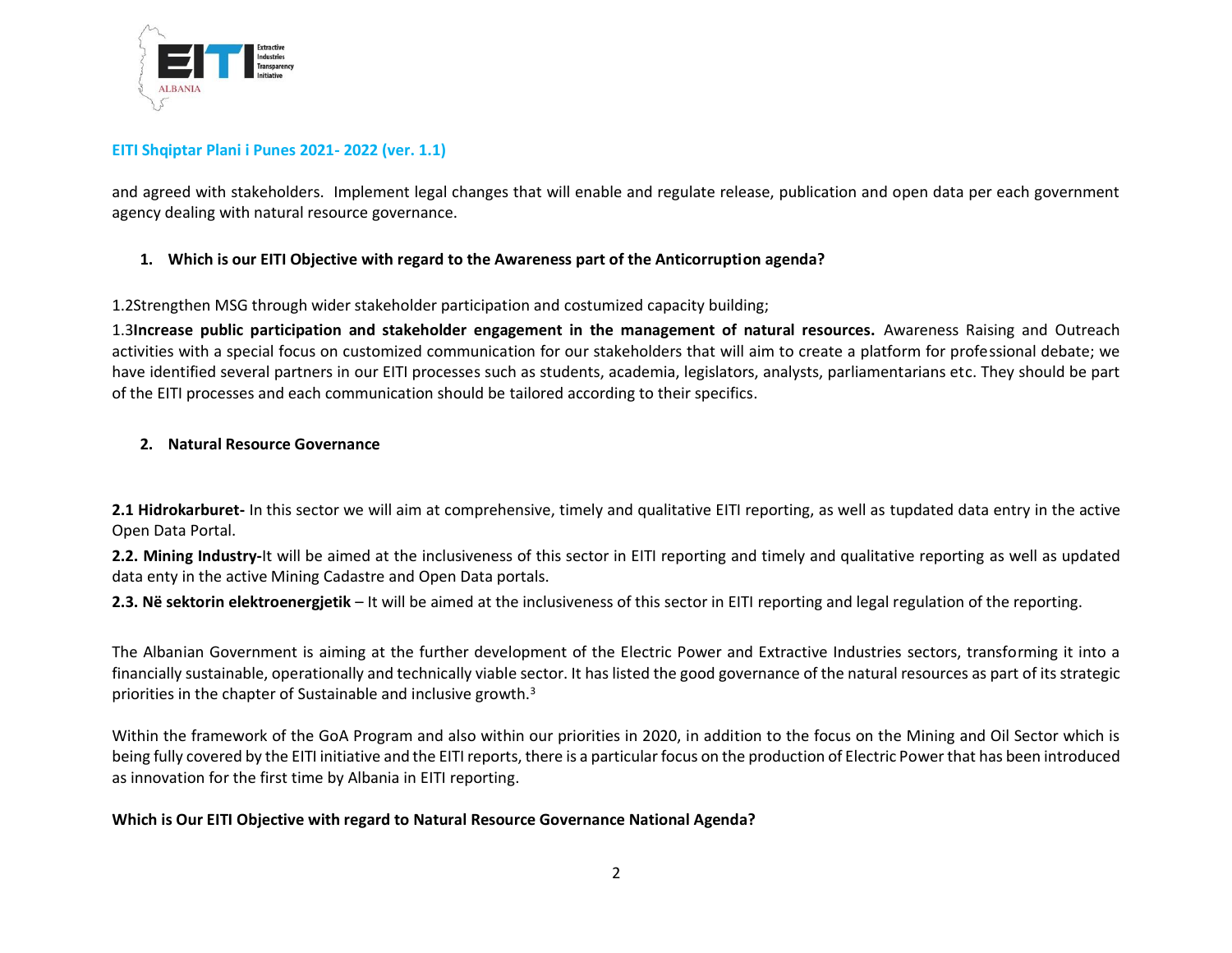

and agreed with stakeholders. Implement legal changes that will enable and regulate release, publication and open data per each government agency dealing with natural resource governance.

## **1. Which is our EITI Objective with regard to the Awareness part of the Anticorruption agenda?**

1.2Strengthen MSG through wider stakeholder participation and costumized capacity building;

1.3**Increase public participation and stakeholder engagement in the management of natural resources.** Awareness Raising and Outreach activities with a special focus on customized communication for our stakeholders that will aim to create a platform for professional debate; we have identified several partners in our EITI processes such as students, academia, legislators, analysts, parliamentarians etc. They should be part of the EITI processes and each communication should be tailored according to their specifics.

## **2. Natural Resource Governance**

**2.1 Hidrokarburet-** In this sector we will aim at comprehensive, timely and qualitative EITI reporting, as well as tupdated data entry in the active Open Data Portal.

**2.2. Mining Industry-**It will be aimed at the inclusiveness of this sector in EITI reporting and timely and qualitative reporting as well as updated data enty in the active Mining Cadastre and Open Data portals.

**2.3. Në sektorin elektroenergjetik** – It will be aimed at the inclusiveness of this sector in EITI reporting and legal regulation of the reporting.

The Albanian Government is aiming at the further development of the Electric Power and Extractive Industries sectors, transforming it into a financially sustainable, operationally and technically viable sector. It has listed the good governance of the natural resources as part of its strategic priorities in the chapter of Sustainable and inclusive growth.<sup>3</sup>

Within the framework of the GoA Program and also within our priorities in 2020, in addition to the focus on the Mining and Oil Sector which is being fully covered by the EITI initiative and the EITI reports, there is a particular focus on the production of Electric Power that has been introduced as innovation for the first time by Albania in EITI reporting.

#### **Which is Our EITI Objective with regard to Natural Resource Governance National Agenda?**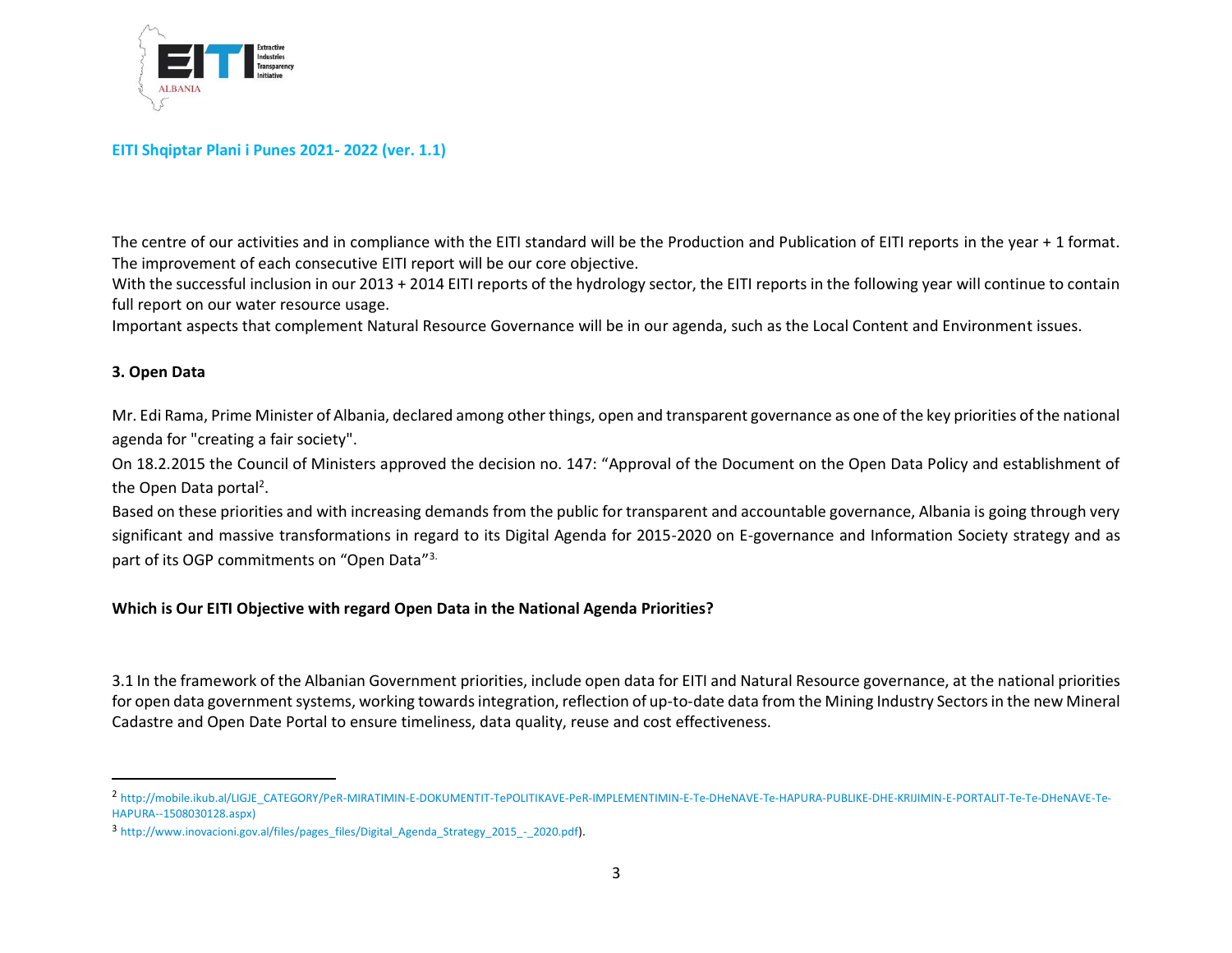

The centre of our activities and in compliance with the EITI standard will be the Production and Publication of EITI reports in the year + 1 format. The improvement of each consecutive EITI report will be our core objective.

With the successful inclusion in our 2013 + 2014 EITI reports of the hydrology sector, the EITI reports in the following year will continue to contain full report on our water resource usage.

Important aspects that complement Natural Resource Governance will be in our agenda, such as the Local Content and Environment issues.

#### **3. Open Data**

Mr. Edi Rama, Prime Minister of Albania, declared among other things, open and transparent governance as one of the key priorities of the national agenda for "creating a fair society".

On 18.2.2015 the Council of Ministers approved the decision no. 147: "Approval of the Document on the Open Data Policy and establishment of the Open Data portal<sup>2</sup>.

Based on these priorities and with increasing demands from the public for transparent and accountable governance, Albania is going through very significant and massive transformations in regard to its Digital Agenda for 2015-2020 on E-governance and Information Society strategy and as part of its OGP commitments on "Open Data"3.

#### **Which is Our EITI Objective with regard Open Data in the National Agenda Priorities?**

3.1 In the framework of the Albanian Government priorities, include open data for EITI and Natural Resource governance, at the national priorities for open data government systems, working towards integration, reflection of up-to-date data from the Mining Industry Sectors in the new Mineral Cadastre and Open Date Portal to ensure timeliness, data quality, reuse and cost effectiveness.

<sup>2</sup> [http://mobile.ikub.al/LIGJE\\_CATEGORY/PeR-MIRATIMIN-E-DOKUMENTIT-TePOLITIKAVE-PeR-IMPLEMENTIMIN-E-Te-DHeNAVE-Te-HAPURA-PUBLIKE-DHE-KRIJIMIN-E-PORTALIT-Te-Te-DHeNAVE-Te-](http://mobile.ikub.al/LIGJE_CATEGORY/PeR-MIRATIMIN-E-DOKUMENTIT-TePOLITIKAVE-PeR-IMPLEMENTIMIN-E-Te-DHeNAVE-Te-HAPURA-PUBLIKE-DHE-KRIJIMIN-E-PORTALIT-Te-Te-DHeNAVE-Te-HAPURA--1508030128.aspx)[HAPURA--1508030128.aspx\)](http://mobile.ikub.al/LIGJE_CATEGORY/PeR-MIRATIMIN-E-DOKUMENTIT-TePOLITIKAVE-PeR-IMPLEMENTIMIN-E-Te-DHeNAVE-Te-HAPURA-PUBLIKE-DHE-KRIJIMIN-E-PORTALIT-Te-Te-DHeNAVE-Te-HAPURA--1508030128.aspx)

<sup>3</sup> [http://www.inovacioni.gov.al/files/pages\\_files/Digital\\_Agenda\\_Strategy\\_2015\\_-\\_2020.pdf\)](http://www.inovacioni.gov.al/files/pages_files/Digital_Agenda_Strategy_2015_-_2020.pdf).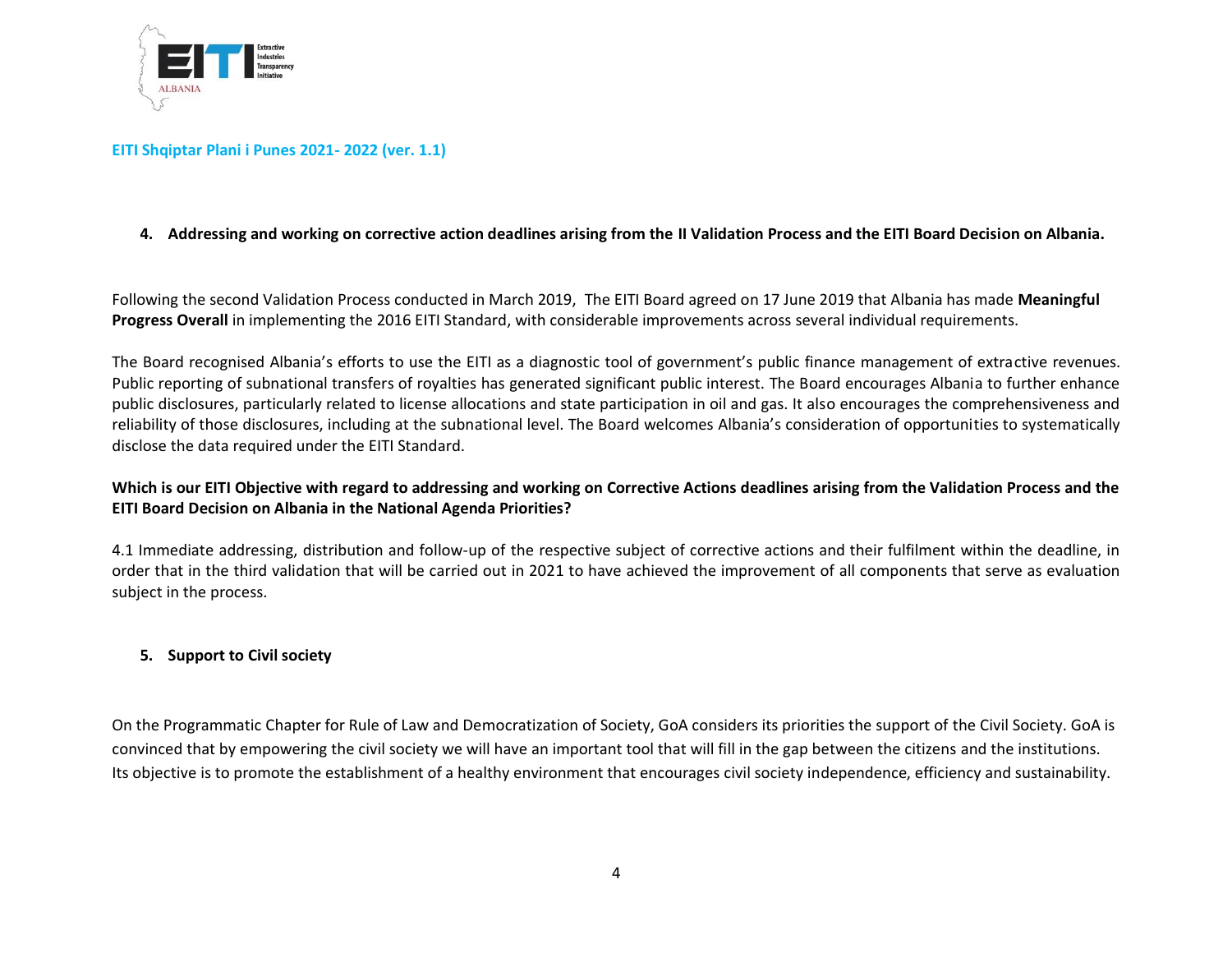

## **4. Addressing and working on corrective action deadlines arising from the II Validation Process and the EITI Board Decision on Albania.**

Following the second Validation Process conducted in March 2019, The EITI Board agreed on 17 June 2019 that Albania has made **Meaningful Progress Overall** in implementing the 2016 EITI Standard, with considerable improvements across several individual requirements.

The Board recognised Albania's efforts to use the EITI as a diagnostic tool of government's public finance management of extractive revenues. Public reporting of subnational transfers of royalties has generated significant public interest. The Board encourages Albania to further enhance public disclosures, particularly related to license allocations and state participation in oil and gas. It also encourages the comprehensiveness and reliability of those disclosures, including at the subnational level. The Board welcomes Albania's consideration of opportunities to systematically disclose the data required under the EITI Standard.

## **Which is our EITI Objective with regard to addressing and working on Corrective Actions deadlines arising from the Validation Process and the EITI Board Decision on Albania in the National Agenda Priorities?**

4.1 Immediate addressing, distribution and follow-up of the respective subject of corrective actions and their fulfilment within the deadline, in order that in the third validation that will be carried out in 2021 to have achieved the improvement of all components that serve as evaluation subject in the process.

#### **5. Support to [Civil society](http://www.kryeministria.al/en/program/rule-of-law-and-the-democratization-of-society/civil-society)**

On the Programmatic Chapter for Rule of Law and Democratization of Society, GoA considers its priorities the support of the [Civil Society.](http://www.kryeministria.al/en/program/rule-of-law-and-the-democratization-of-society/civil-society) GoA is convinced that by empowering the civil society we will have an important tool that will fill in the gap between the citizens and the institutions. Its objective is to promote the establishment of a healthy environment that encourages civil society independence, efficiency and sustainability.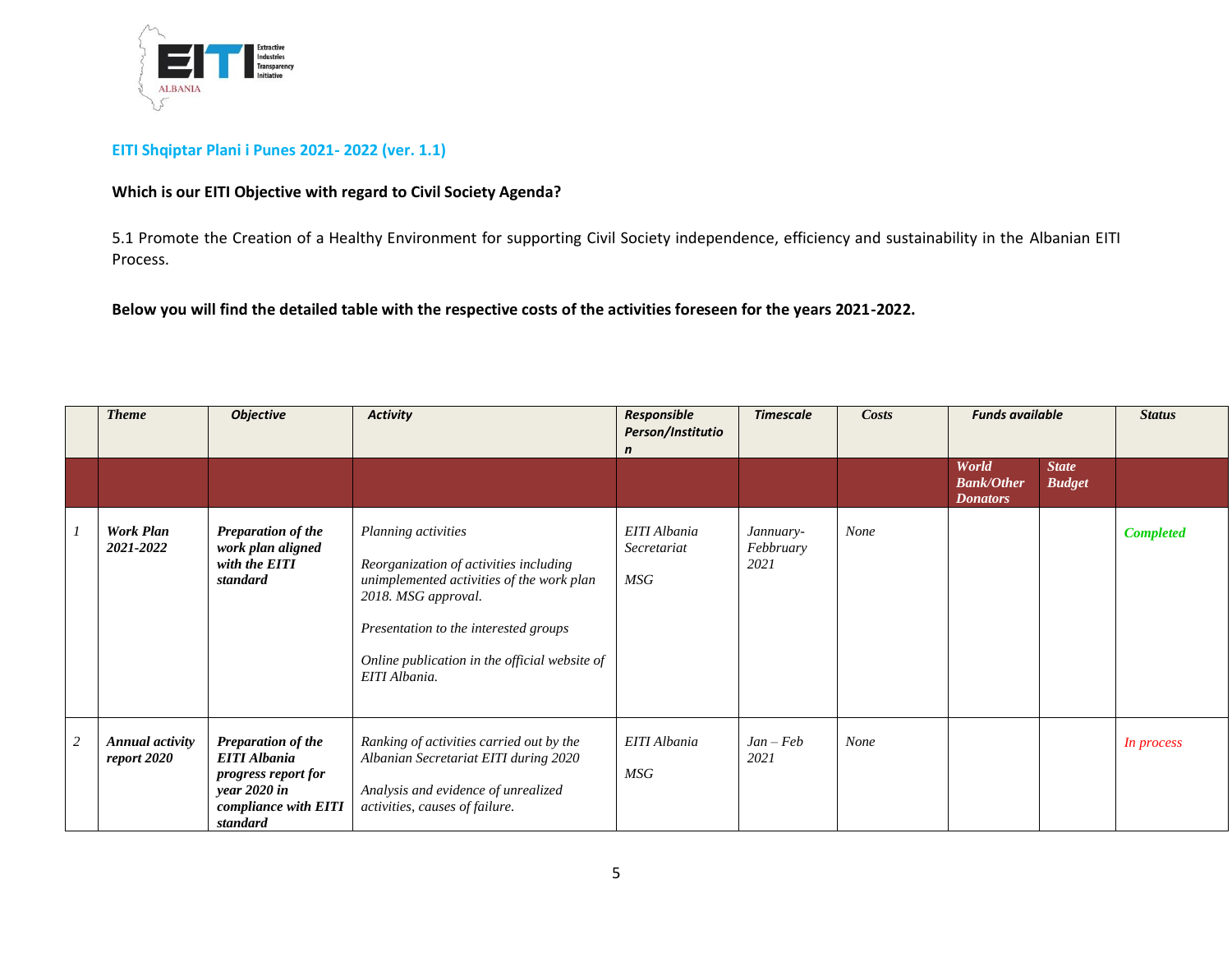

## **Which is our EITI Objective with regard to Civil Society Agenda?**

5.1 Promote the Creation of a Healthy Environment for supporting Civil Society independence, efficiency and sustainability in the Albanian EITI Process.

**Below you will find the detailed table with the respective costs of the activities foreseen for the years 2021-2022.**

|                | <b>Theme</b>                          | <b>Objective</b>                                                                                                            | <b>Activity</b>                                                                                                                                                                                                                              | Responsible<br>Person/Institutio<br>$\mathsf{n}$ |                                |      | Costs<br><b>Timescale</b>                     |                               |                  | <b>Funds available</b> |  |  |  | <b>Status</b> |
|----------------|---------------------------------------|-----------------------------------------------------------------------------------------------------------------------------|----------------------------------------------------------------------------------------------------------------------------------------------------------------------------------------------------------------------------------------------|--------------------------------------------------|--------------------------------|------|-----------------------------------------------|-------------------------------|------------------|------------------------|--|--|--|---------------|
|                |                                       |                                                                                                                             |                                                                                                                                                                                                                                              |                                                  |                                |      | World<br><b>Bank/Other</b><br><b>Donators</b> | <b>State</b><br><b>Budget</b> |                  |                        |  |  |  |               |
|                | <b>Work Plan</b><br>2021-2022         | Preparation of the<br>work plan aligned<br>with the EITI<br>standard                                                        | Planning activities<br>Reorganization of activities including<br>unimplemented activities of the work plan<br>2018. MSG approval.<br>Presentation to the interested groups<br>Online publication in the official website of<br>EITI Albania. | EITI Albania<br>Secretariat<br>MSG               | Jannuary-<br>Febbruary<br>2021 | None |                                               |                               | <b>Completed</b> |                        |  |  |  |               |
| $\overline{c}$ | <b>Annual activity</b><br>report 2020 | <b>Preparation of the</b><br><b>EITI</b> Albania<br>progress report for<br>year 2020 in<br>compliance with EITI<br>standard | Ranking of activities carried out by the<br>Albanian Secretariat EITI during 2020<br>Analysis and evidence of unrealized<br>activities, causes of failure.                                                                                   | EITI Albania<br>MSG                              | $Jan - Feb$<br>2021            | None |                                               |                               | In process       |                        |  |  |  |               |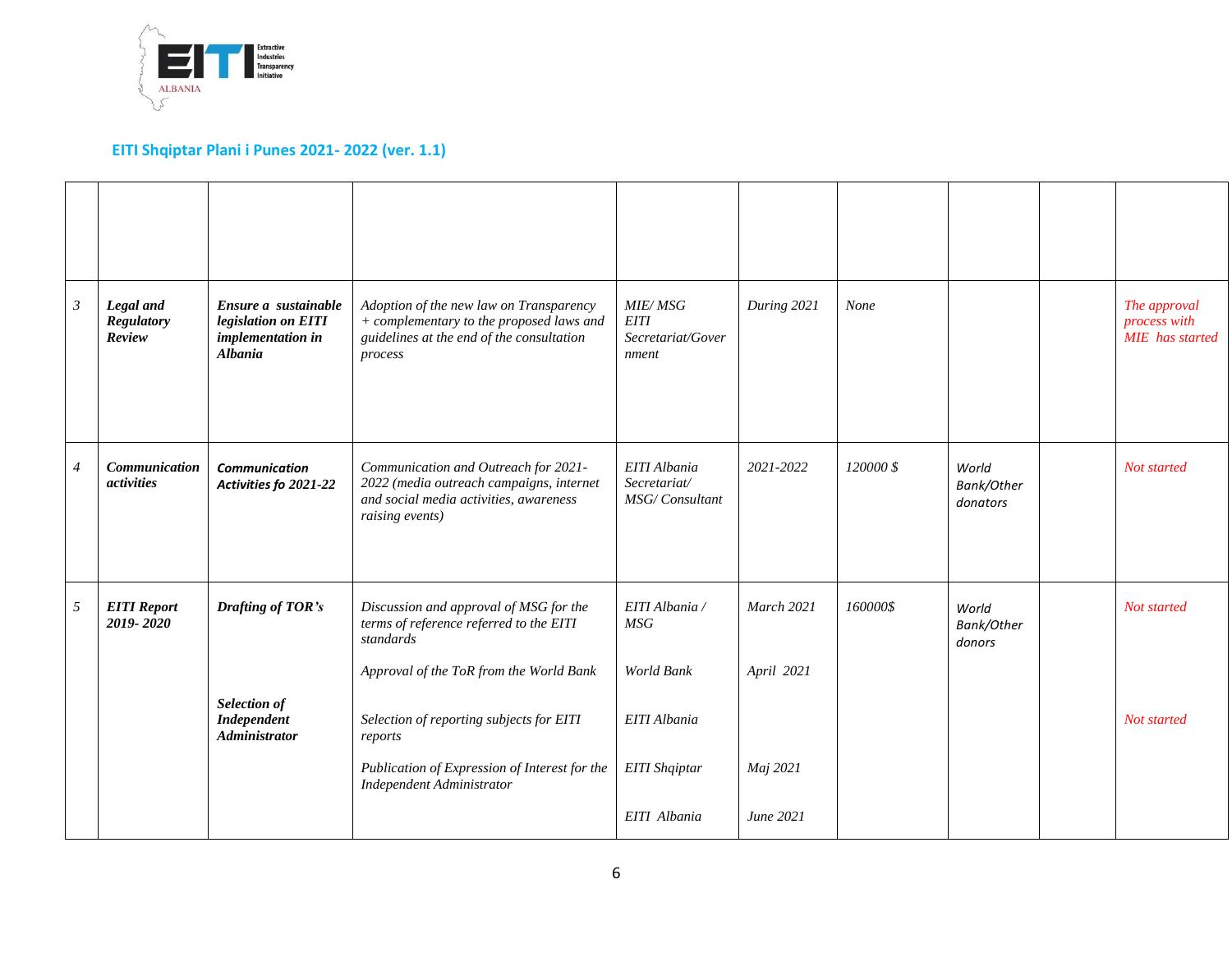

| $\mathfrak{Z}$ | Legal and<br><b>Regulatory</b><br>Review  | Ensure a sustainable<br>legislation on EITI<br>implementation in<br><b>Albania</b> | Adoption of the new law on Transparency<br>+ complementary to the proposed laws and<br>guidelines at the end of the consultation<br>process   | <b>MIE/MSG</b><br><b>EITI</b><br>Secretariat/Gover<br>nment | During 2021              | None      |                                 | The approval<br>process with<br><b>MIE</b> has started |
|----------------|-------------------------------------------|------------------------------------------------------------------------------------|-----------------------------------------------------------------------------------------------------------------------------------------------|-------------------------------------------------------------|--------------------------|-----------|---------------------------------|--------------------------------------------------------|
| $\overline{4}$ | <b>Communication</b><br><i>activities</i> | <b>Communication</b><br>Activities fo 2021-22                                      | Communication and Outreach for 2021-<br>2022 (media outreach campaigns, internet<br>and social media activities, awareness<br>raising events) | EITI Albania<br>Secretariat/<br>MSG/Consultant              | 2021-2022                | 120000 \$ | World<br>Bank/Other<br>donators | Not started                                            |
| 5              | <b>EITI</b> Report<br>2019-2020           | Drafting of TOR's                                                                  | Discussion and approval of MSG for the<br>terms of reference referred to the EITI<br>standards<br>Approval of the ToR from the World Bank     | EITI Albania /<br>MSG<br>World Bank                         | March 2021<br>April 2021 | 160000\$  | World<br>Bank/Other<br>donors   | Not started                                            |
|                |                                           | Selection of<br><b>Independent</b><br><b>Administrator</b>                         | Selection of reporting subjects for EITI<br>reports                                                                                           | EITI Albania                                                |                          |           |                                 | Not started                                            |
|                |                                           |                                                                                    | Publication of Expression of Interest for the<br>Independent Administrator                                                                    | EITI Shqiptar                                               | Maj 2021                 |           |                                 |                                                        |
|                |                                           |                                                                                    |                                                                                                                                               | EITI Albania                                                | June 2021                |           |                                 |                                                        |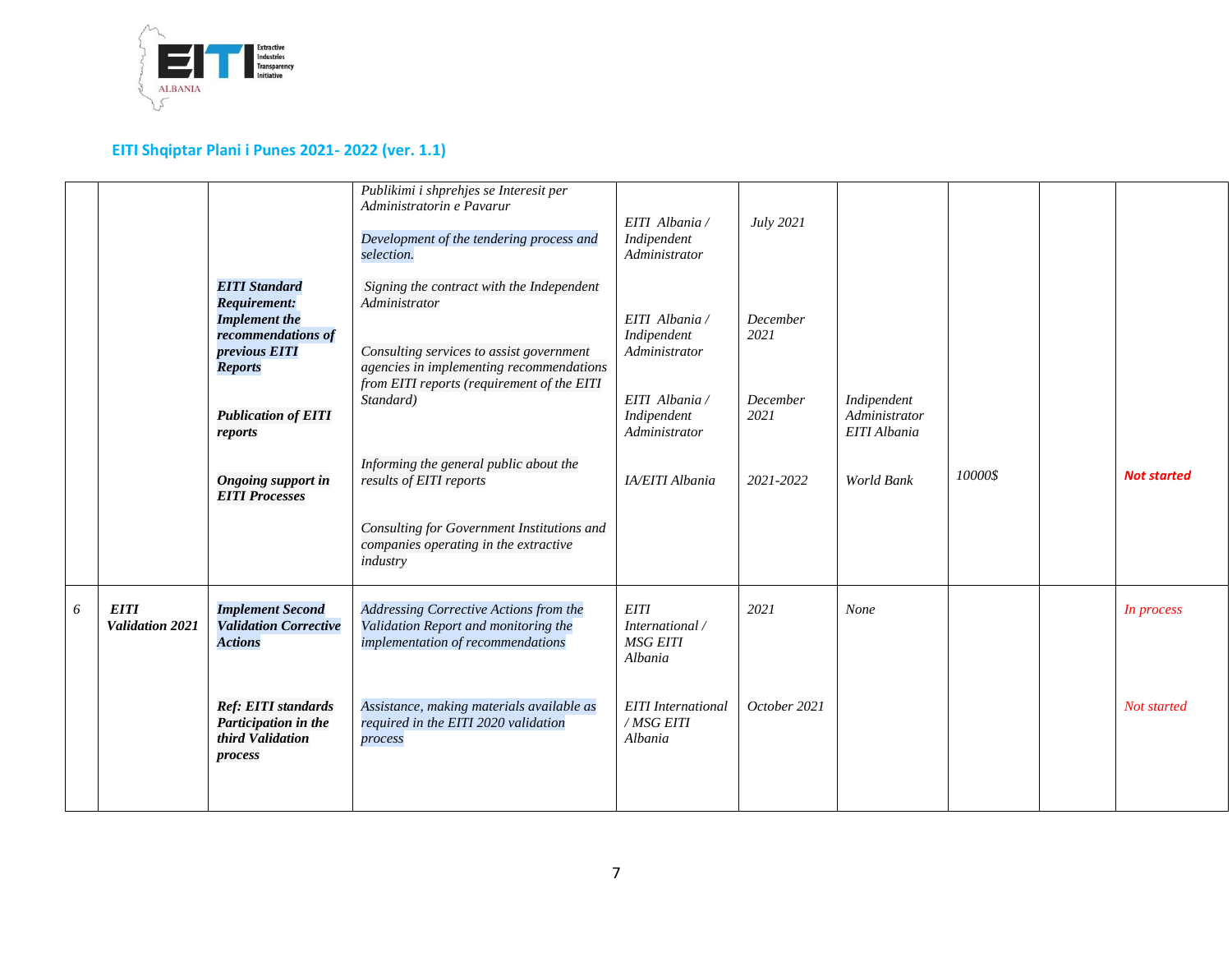

| Publikimi i shprehjes se Interesit per<br>Administratorin e Pavarur<br>July 2021<br>EITI Albania /<br>Indipendent<br>Development of the tendering process and<br>Administrator<br>selection.<br><b>EITI</b> Standard<br>Signing the contract with the Independent                                                       |                    |
|-------------------------------------------------------------------------------------------------------------------------------------------------------------------------------------------------------------------------------------------------------------------------------------------------------------------------|--------------------|
| <b>Requirement:</b><br>Administrator                                                                                                                                                                                                                                                                                    |                    |
| EITI Albania /<br><b>Implement the</b><br>December<br>recommendations of<br>2021<br>Indipendent<br>previous EITI<br>Consulting services to assist government<br>Administrator<br>agencies in implementing recommendations<br><b>Reports</b><br>from EITI reports (requirement of the EITI                               |                    |
| EITI Albania /<br>December<br>Indipendent<br>Standard)<br><b>Publication of EITI</b><br>Administrator<br>Indipendent<br>2021<br>Administrator<br>EITI Albania<br>reports<br>Informing the general public about the                                                                                                      |                    |
| 10000\$<br><b>Ongoing support in</b><br>IA/EITI Albania<br>2021-2022<br>World Bank<br>results of EITI reports<br><b>EITI Processes</b><br>Consulting for Government Institutions and                                                                                                                                    | <b>Not started</b> |
| companies operating in the extractive<br>industry                                                                                                                                                                                                                                                                       |                    |
| <b>EITI</b><br><b>Implement Second</b><br>6<br>Addressing Corrective Actions from the<br><b>EITI</b><br>2021<br>None<br>Validation 2021<br><b>Validation Corrective</b><br>Validation Report and monitoring the<br>International /<br><b>Actions</b><br>implementation of recommendations<br><b>MSG EITI</b><br>Albania | In process         |
| <b>Ref: EITI standards</b><br>Assistance, making materials available as<br><b>EITI</b> International<br>October 2021<br>Participation in the<br>/MSG EITI<br>required in the EITI 2020 validation<br>third Validation<br>Albania<br>process<br>process                                                                  | Not started        |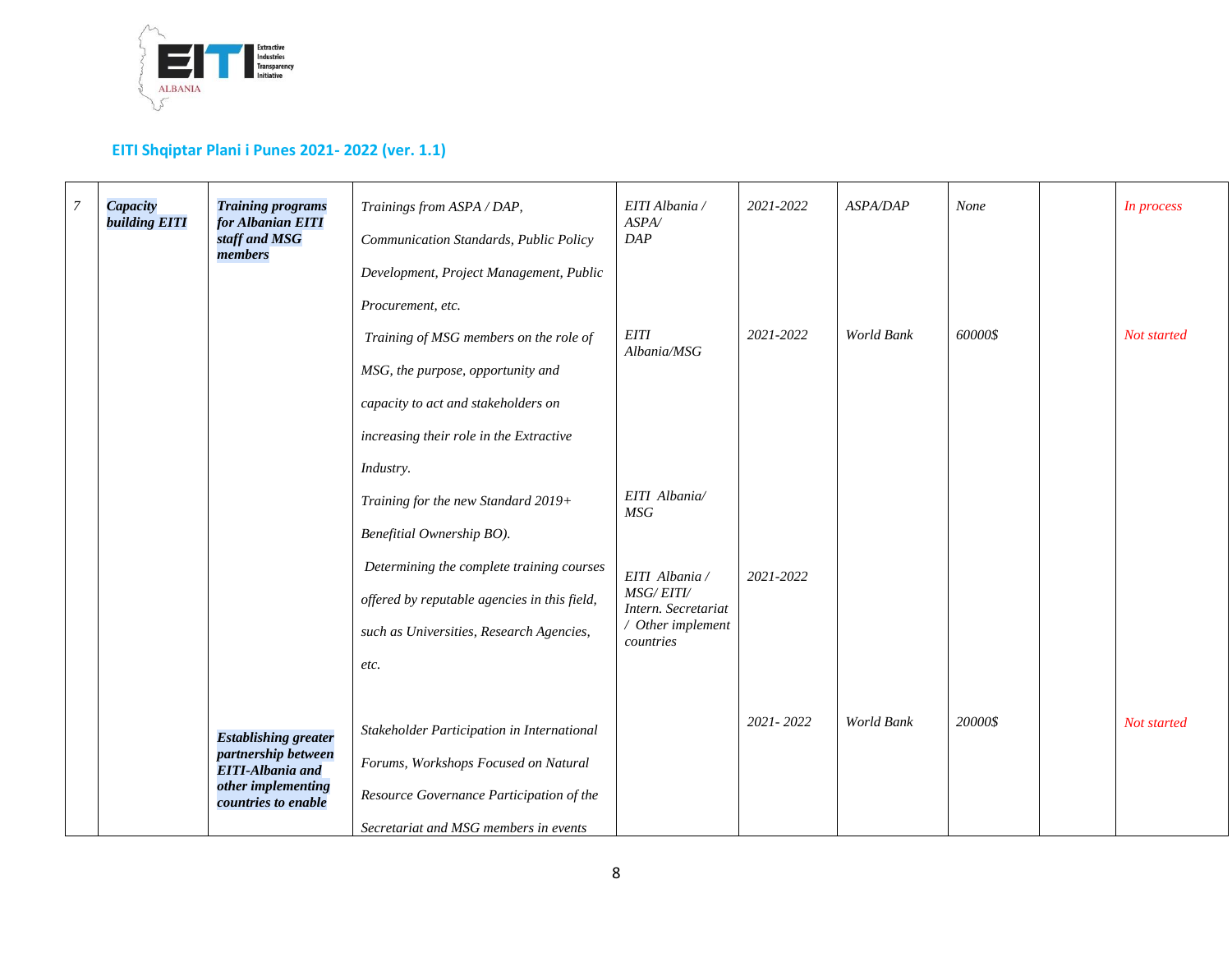

| $\overline{7}$ | Capacity<br><b>building EITI</b> | <b>Training programs</b><br>for Albanian EITI<br>staff and MSG<br>members                                                  | Trainings from ASPA / DAP,<br>Communication Standards, Public Policy<br>Development, Project Management, Public                                                                                                                                                           | EITI Albania /<br>ASPA/<br>DAP                                                                                      | 2021-2022     | <b>ASPA/DAP</b> | None    | In process  |
|----------------|----------------------------------|----------------------------------------------------------------------------------------------------------------------------|---------------------------------------------------------------------------------------------------------------------------------------------------------------------------------------------------------------------------------------------------------------------------|---------------------------------------------------------------------------------------------------------------------|---------------|-----------------|---------|-------------|
|                |                                  |                                                                                                                            | Procurement, etc.<br>Training of MSG members on the role of<br>MSG, the purpose, opportunity and<br>capacity to act and stakeholders on                                                                                                                                   | <b>EITI</b><br>Albania/MSG                                                                                          | 2021-2022     | World Bank      | 60000\$ | Not started |
|                |                                  |                                                                                                                            | increasing their role in the Extractive<br>Industry.<br>Training for the new Standard 2019+<br>Benefitial Ownership BO).<br>Determining the complete training courses<br>offered by reputable agencies in this field,<br>such as Universities, Research Agencies,<br>etc. | EITI Albania/<br>MSG<br>EITI Albania /<br><b>MSG/EITI/</b><br>Intern. Secretariat<br>/ Other implement<br>countries | 2021-2022     |                 |         |             |
|                |                                  | <b>Establishing greater</b><br>partnership between<br><b>EITI-Albania and</b><br>other implementing<br>countries to enable | Stakeholder Participation in International<br>Forums, Workshops Focused on Natural<br>Resource Governance Participation of the<br>Secretariat and MSG members in events                                                                                                   |                                                                                                                     | $2021 - 2022$ | World Bank      | 20000\$ | Not started |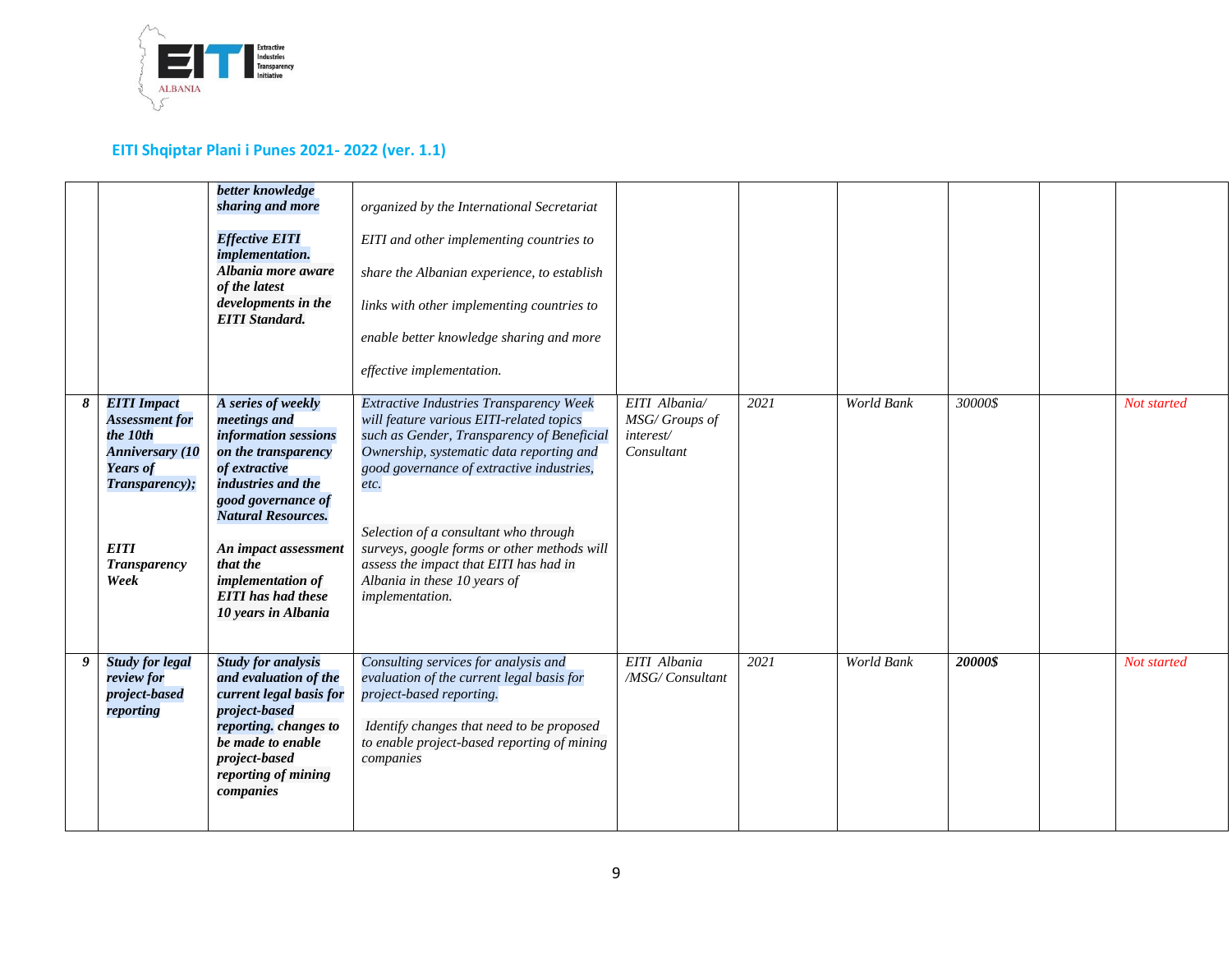

|   |                                                                                                                                                                      | better knowledge<br>sharing and more<br><b>Effective EITI</b><br><i>implementation.</i><br>Albania more aware<br>of the latest<br>developments in the<br><b>EITI</b> Standard.                                                                                                           | organized by the International Secretariat<br>EITI and other implementing countries to<br>share the Albanian experience, to establish<br>links with other implementing countries to<br>enable better knowledge sharing and more<br>effective implementation.                                                                                                                                                            |                                                           |      |                   |         |             |
|---|----------------------------------------------------------------------------------------------------------------------------------------------------------------------|------------------------------------------------------------------------------------------------------------------------------------------------------------------------------------------------------------------------------------------------------------------------------------------|-------------------------------------------------------------------------------------------------------------------------------------------------------------------------------------------------------------------------------------------------------------------------------------------------------------------------------------------------------------------------------------------------------------------------|-----------------------------------------------------------|------|-------------------|---------|-------------|
| 8 | <b>EITI</b> Impact<br><b>Assessment for</b><br>the 10th<br><b>Anniversary</b> (10<br><b>Years of</b><br>Transparency);<br><b>EITI</b><br><b>Transparency</b><br>Week | A series of weekly<br>meetings and<br>information sessions<br>on the transparency<br>of extractive<br>industries and the<br>good governance of<br><b>Natural Resources.</b><br>An impact assessment<br>that the<br>implementation of<br><b>EITI</b> has had these<br>10 years in Albania | Extractive Industries Transparency Week<br>will feature various EITI-related topics<br>such as Gender, Transparency of Beneficial<br>Ownership, systematic data reporting and<br>good governance of extractive industries,<br>etc.<br>Selection of a consultant who through<br>surveys, google forms or other methods will<br>assess the impact that EITI has had in<br>Albania in these 10 years of<br>implementation. | EITI Albania/<br>MSG/Groups of<br>interest/<br>Consultant | 2021 | World Bank        | 30000\$ | Not started |
| 9 | <b>Study for legal</b><br>review for<br>project-based<br>reporting                                                                                                   | <b>Study for analysis</b><br>and evaluation of the<br>current legal basis for<br>project-based<br>reporting. changes to<br>be made to enable<br>project-based<br>reporting of mining<br>companies                                                                                        | Consulting services for analysis and<br>evaluation of the current legal basis for<br>project-based reporting.<br>Identify changes that need to be proposed<br>to enable project-based reporting of mining<br>companies                                                                                                                                                                                                  | EITI Albania<br>/MSG/ Consultant                          | 2021 | <b>World Bank</b> | 20000\$ | Not started |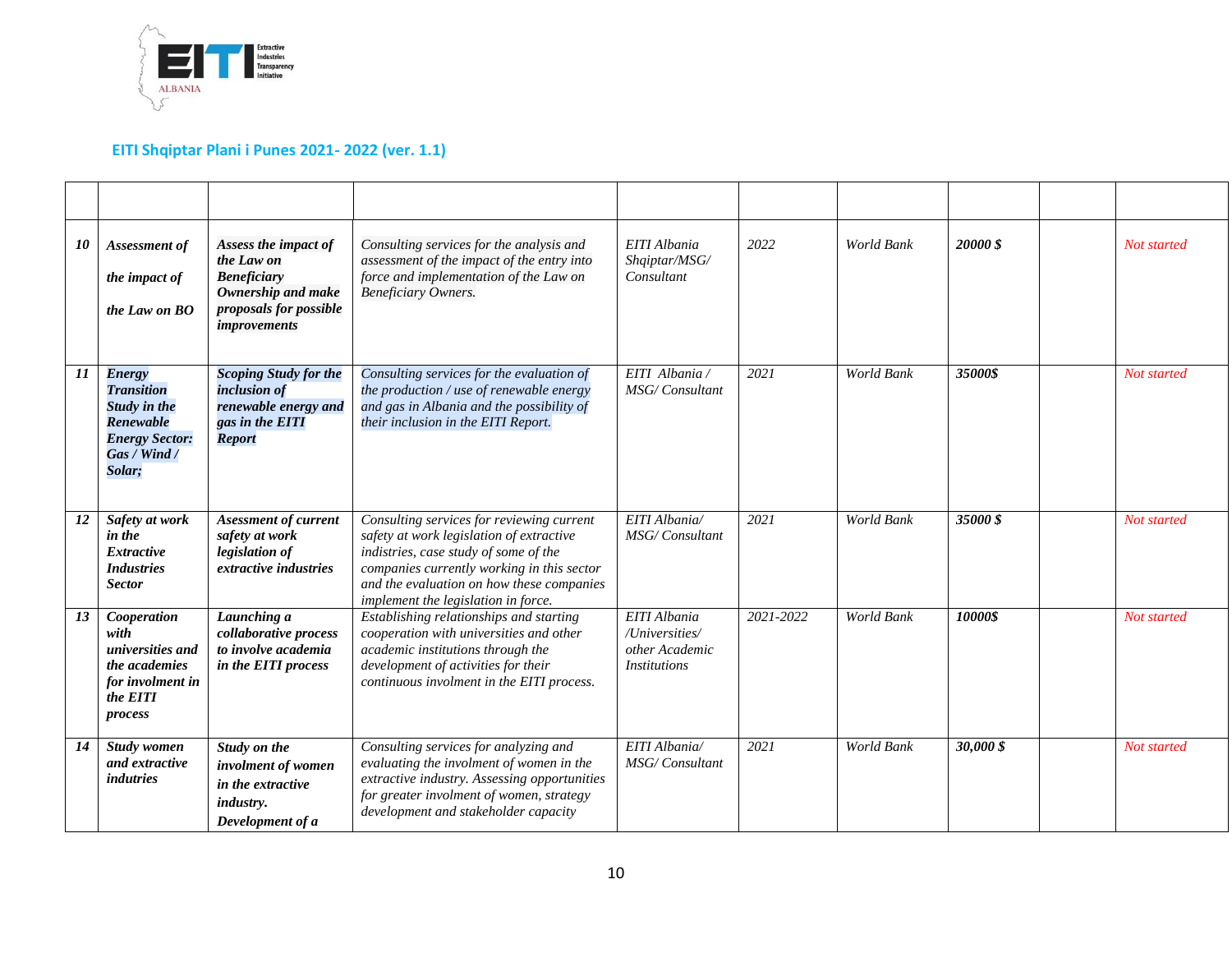

| 10 | Assessment of<br>the impact of<br>the Law on BO                                                                    | Assess the impact of<br>the Law on<br><b>Beneficiary</b><br>Ownership and make<br>proposals for possible<br>improvements | Consulting services for the analysis and<br>assessment of the impact of the entry into<br>force and implementation of the Law on<br><b>Beneficiary Owners.</b>                                                                                                   | EITI Albania<br>Shqiptar/MSG/<br>Consultant                             | 2022      | World Bank | <b>20000 \$</b> | Not started |
|----|--------------------------------------------------------------------------------------------------------------------|--------------------------------------------------------------------------------------------------------------------------|------------------------------------------------------------------------------------------------------------------------------------------------------------------------------------------------------------------------------------------------------------------|-------------------------------------------------------------------------|-----------|------------|-----------------|-------------|
| 11 | <b>Energy</b><br><b>Transition</b><br>Study in the<br>Renewable<br><b>Energy Sector:</b><br>Gas / Wind /<br>Solar; | <b>Scoping Study for the</b><br>inclusion of<br>renewable energy and<br>gas in the EITI<br><b>Report</b>                 | Consulting services for the evaluation of<br>the production / use of renewable energy<br>and gas in Albania and the possibility of<br>their inclusion in the EITI Report.                                                                                        | EITI Albania /<br><b>MSG/Consultant</b>                                 | 2021      | World Bank | 35000\$         | Not started |
| 12 | Safety at work<br>in the<br><b>Extractive</b><br><b>Industries</b><br><b>Sector</b>                                | <b>Asessment of current</b><br>safety at work<br>legislation of<br>extractive industries                                 | Consulting services for reviewing current<br>safety at work legislation of extractive<br>indistries, case study of some of the<br>companies currently working in this sector<br>and the evaluation on how these companies<br>implement the legislation in force. | EITI Albania/<br>MSG/Consultant                                         | 2021      | World Bank | 35000\$         | Not started |
| 13 | Cooperation<br>with<br>universities and<br>the academies<br>for involment in<br>the EITI<br>process                | Launching a<br>collaborative process<br>to involve academia<br>in the EITI process                                       | Establishing relationships and starting<br>cooperation with universities and other<br>academic institutions through the<br>development of activities for their<br>continuous involment in the EITI process.                                                      | EITI Albania<br>/Universities/<br>other Academic<br><b>Institutions</b> | 2021-2022 | World Bank | 10000\$         | Not started |
| 14 | Study women<br>and extractive<br><i>indutries</i>                                                                  | Study on the<br>involment of women<br>in the extractive<br><i>industry.</i><br>Development of a                          | Consulting services for analyzing and<br>evaluating the involment of women in the<br>extractive industry. Assessing opportunities<br>for greater involment of women, strategy<br>development and stakeholder capacity                                            | EITI Albania/<br><b>MSG/Consultant</b>                                  | 2021      | World Bank | 30,000 \$       | Not started |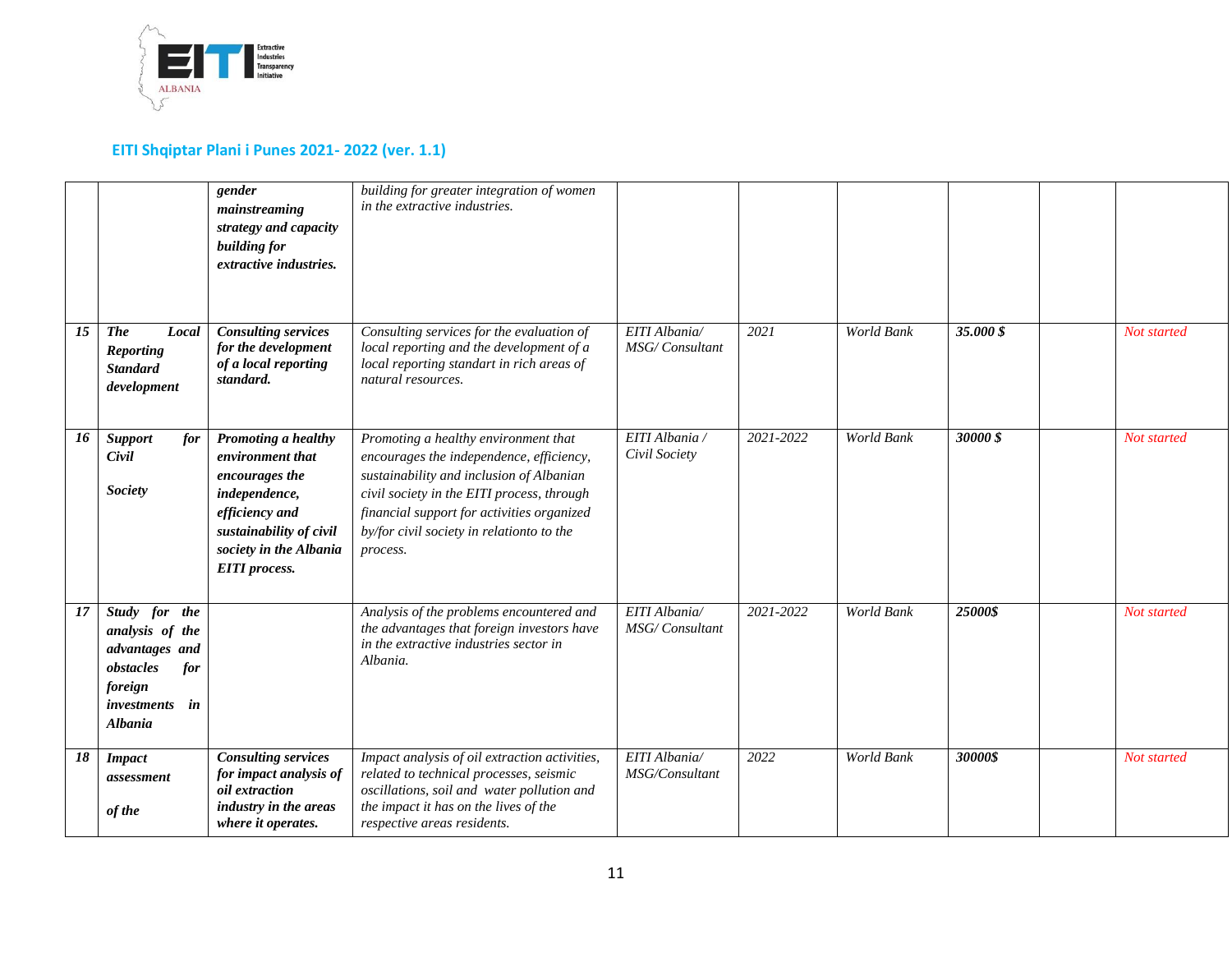

|    |                                                                                                                          | gender<br>mainstreaming<br>strategy and capacity<br>building for<br>extractive industries.                                                                                | building for greater integration of women<br>in the extractive industries.                                                                                                                                                                                                        |                                        |           |                   |           |             |
|----|--------------------------------------------------------------------------------------------------------------------------|---------------------------------------------------------------------------------------------------------------------------------------------------------------------------|-----------------------------------------------------------------------------------------------------------------------------------------------------------------------------------------------------------------------------------------------------------------------------------|----------------------------------------|-----------|-------------------|-----------|-------------|
| 15 | <b>The</b><br>Local<br><b>Reporting</b><br><b>Standard</b><br>development                                                | <b>Consulting services</b><br>for the development<br>of a local reporting<br>standard.                                                                                    | Consulting services for the evaluation of<br>local reporting and the development of a<br>local reporting standart in rich areas of<br>natural resources.                                                                                                                          | EITI Albania/<br>MSG/Consultant        | 2021      | World Bank        | 35.000 \$ | Not started |
| 16 | <b>Support</b><br>for<br>Civil<br><b>Society</b>                                                                         | Promoting a healthy<br>environment that<br>encourages the<br>independence,<br>efficiency and<br>sustainability of civil<br>society in the Albania<br><b>EITI</b> process. | Promoting a healthy environment that<br>encourages the independence, efficiency,<br>sustainability and inclusion of Albanian<br>civil society in the EITI process, through<br>financial support for activities organized<br>by/for civil society in relationto to the<br>process. | EITI Albania /<br>Civil Society        | 2021-2022 | <b>World Bank</b> | 30000\$   | Not started |
| 17 | Study for the<br>analysis of the<br>advantages and<br>obstacles<br>for<br>foreign<br>investments<br>in<br><b>Albania</b> |                                                                                                                                                                           | Analysis of the problems encountered and<br>the advantages that foreign investors have<br>in the extractive industries sector in<br>Albania.                                                                                                                                      | EITI Albania/<br><b>MSG/Consultant</b> | 2021-2022 | World Bank        | 25000\$   | Not started |
| 18 | <b>Impact</b><br>assessment<br>of the                                                                                    | <b>Consulting services</b><br>for impact analysis of<br><i>oil</i> extraction<br>industry in the areas<br>where it operates.                                              | Impact analysis of oil extraction activities,<br>related to technical processes, seismic<br>oscillations, soil and water pollution and<br>the impact it has on the lives of the<br>respective areas residents.                                                                    | EITI Albania/<br>MSG/Consultant        | 2022      | World Bank        | 30000\$   | Not started |